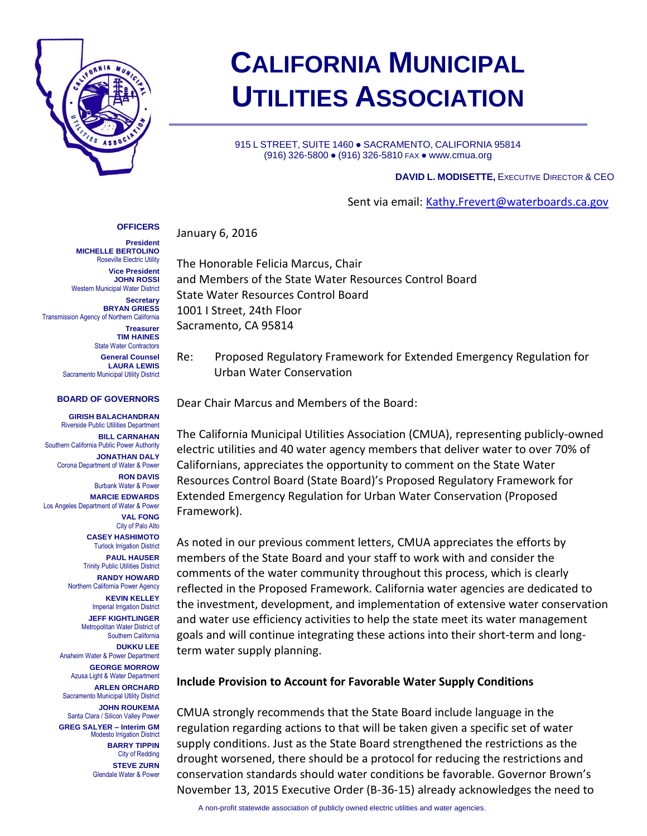

# **CALIFORNIA MUNICIPAL UTILITIES ASSOCIATION**

915 L STREET, SUITE 1460 · SACRAMENTO, CALIFORNIA 95814 (916) 326-5800 ● (916) 326-5810 FAX ● www.cmua.org

#### **DAVID L. MODISETTE,** EXECUTIVE DIRECTOR & CEO

Sent via email: [Kathy.Frevert@waterboards.ca.gov](mailto:Kathy.Frevert@waterboards.ca.gov)

#### January 6, 2016 **OFFICERS**

**President MICHELLE BERTOLINO** Roseville Electric Utility **Vice President JOHN ROSSI** Western Municipal Water District **Secretary BRYAN GRIESS** Transmission Agency of Northern California **Treasurer TIM HAINES** State Water Contractors **General Counsel**

**LAURA LEWIS** Sacramento Municipal Utility District

#### **BOARD OF GOVERNORS**

**GIRISH BALACHANDRAN** Riverside Public Utilities Department **BILL CARNAHAN** Southern California Public Power Authority **JONATHAN DALY** Corona Department of Water & Power **RON DAVIS** Burbank Water & Power **MARCIE EDWARDS** Los Angeles Department of Water & Power **VAL FONG** City of Palo Alto **CASEY HASHIMOTO** Turlock Irrigation District **PAUL HAUSER** Trinity Public Utilities District **RANDY HOWARD** Northern California Power Agency **KEVIN KELLEY** Imperial Irrigation District **JEFF KIGHTLINGER** Metropolitan Water District of Southern California **DUKKU LEE** Anaheim Water & Power Department **GEORGE MORROW** Azusa Light & Water Department **ARLEN ORCHARD** Sacramento Municipal Utility District **JOHN ROUKEMA** Santa Clara / Silicon Valley Power **GREG SALYER – Interim GM** Modesto Irrigation District **BARRY TIPPIN** City of Redding **STEVE ZURN** Glendale Water & Power

The Honorable Felicia Marcus, Chair and Members of the State Water Resources Control Board State Water Resources Control Board 1001 I Street, 24th Floor Sacramento, CA 95814

Re: Proposed Regulatory Framework for Extended Emergency Regulation for Urban Water Conservation

Dear Chair Marcus and Members of the Board:

The California Municipal Utilities Association (CMUA), representing publicly-owned electric utilities and 40 water agency members that deliver water to over 70% of Californians, appreciates the opportunity to comment on the State Water Resources Control Board (State Board)'s Proposed Regulatory Framework for Extended Emergency Regulation for Urban Water Conservation (Proposed Framework).

As noted in our previous comment letters, CMUA appreciates the efforts by members of the State Board and your staff to work with and consider the comments of the water community throughout this process, which is clearly reflected in the Proposed Framework. California water agencies are dedicated to the investment, development, and implementation of extensive water conservation and water use efficiency activities to help the state meet its water management goals and will continue integrating these actions into their short-term and longterm water supply planning.

#### **Include Provision to Account for Favorable Water Supply Conditions**

CMUA strongly recommends that the State Board include language in the regulation regarding actions to that will be taken given a specific set of water supply conditions. Just as the State Board strengthened the restrictions as the drought worsened, there should be a protocol for reducing the restrictions and conservation standards should water conditions be favorable. Governor Brown's November 13, 2015 Executive Order (B-36-15) already acknowledges the need to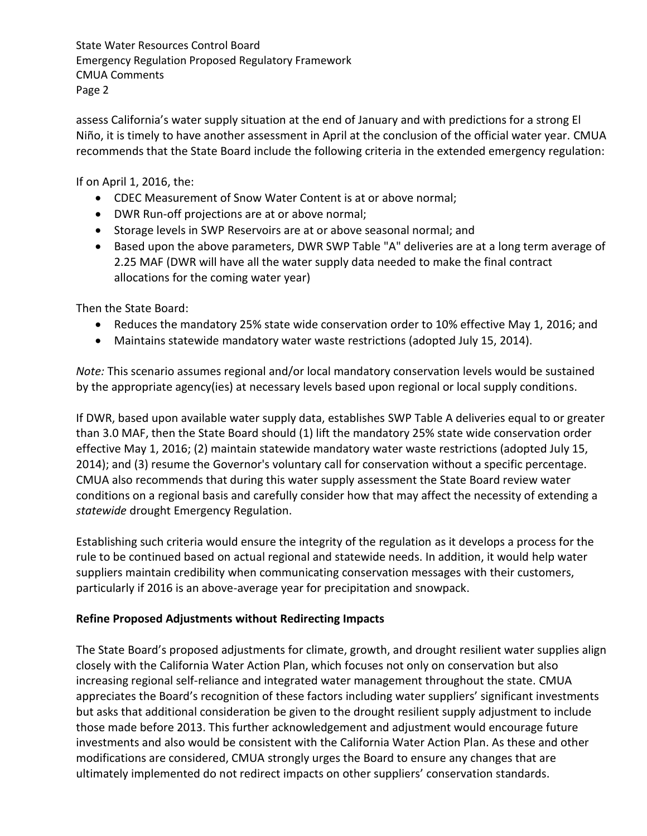State Water Resources Control Board Emergency Regulation Proposed Regulatory Framework CMUA Comments Page 2

assess California's water supply situation at the end of January and with predictions for a strong El Niño, it is timely to have another assessment in April at the conclusion of the official water year. CMUA recommends that the State Board include the following criteria in the extended emergency regulation:

If on April 1, 2016, the:

- CDEC Measurement of Snow Water Content is at or above normal;
- DWR Run-off projections are at or above normal;
- Storage levels in SWP Reservoirs are at or above seasonal normal; and
- Based upon the above parameters, DWR SWP Table "A" deliveries are at a long term average of 2.25 MAF (DWR will have all the water supply data needed to make the final contract allocations for the coming water year)

Then the State Board:

- Reduces the mandatory 25% state wide conservation order to 10% effective May 1, 2016; and
- Maintains statewide mandatory water waste restrictions (adopted July 15, 2014).

*Note:* This scenario assumes regional and/or local mandatory conservation levels would be sustained by the appropriate agency(ies) at necessary levels based upon regional or local supply conditions.

If DWR, based upon available water supply data, establishes SWP Table A deliveries equal to or greater than 3.0 MAF, then the State Board should (1) lift the mandatory 25% state wide conservation order effective May 1, 2016; (2) maintain statewide mandatory water waste restrictions (adopted July 15, 2014); and (3) resume the Governor's voluntary call for conservation without a specific percentage. CMUA also recommends that during this water supply assessment the State Board review water conditions on a regional basis and carefully consider how that may affect the necessity of extending a *statewide* drought Emergency Regulation.

Establishing such criteria would ensure the integrity of the regulation as it develops a process for the rule to be continued based on actual regional and statewide needs. In addition, it would help water suppliers maintain credibility when communicating conservation messages with their customers, particularly if 2016 is an above-average year for precipitation and snowpack.

## **Refine Proposed Adjustments without Redirecting Impacts**

The State Board's proposed adjustments for climate, growth, and drought resilient water supplies align closely with the California Water Action Plan, which focuses not only on conservation but also increasing regional self-reliance and integrated water management throughout the state. CMUA appreciates the Board's recognition of these factors including water suppliers' significant investments but asks that additional consideration be given to the drought resilient supply adjustment to include those made before 2013. This further acknowledgement and adjustment would encourage future investments and also would be consistent with the California Water Action Plan. As these and other modifications are considered, CMUA strongly urges the Board to ensure any changes that are ultimately implemented do not redirect impacts on other suppliers' conservation standards.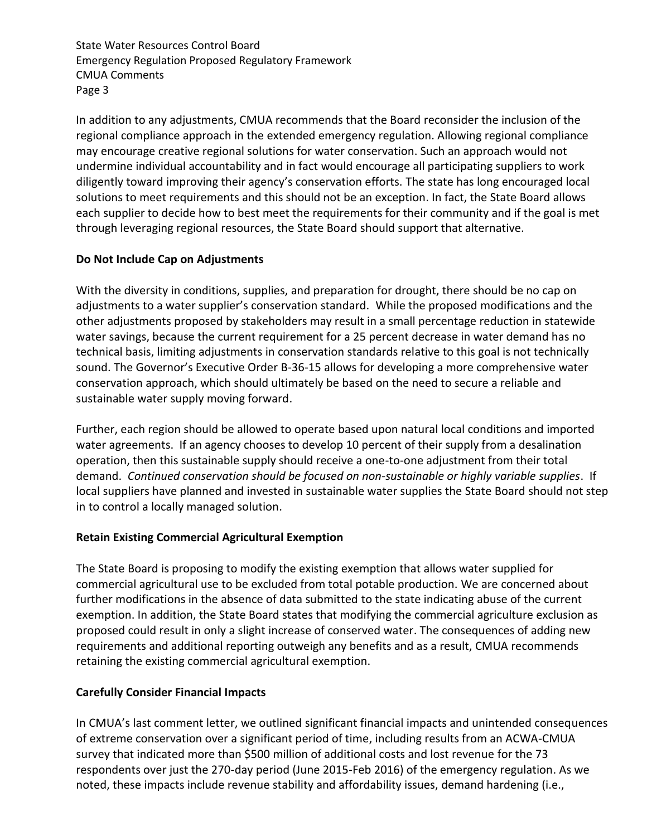State Water Resources Control Board Emergency Regulation Proposed Regulatory Framework CMUA Comments Page 3

In addition to any adjustments, CMUA recommends that the Board reconsider the inclusion of the regional compliance approach in the extended emergency regulation. Allowing regional compliance may encourage creative regional solutions for water conservation. Such an approach would not undermine individual accountability and in fact would encourage all participating suppliers to work diligently toward improving their agency's conservation efforts. The state has long encouraged local solutions to meet requirements and this should not be an exception. In fact, the State Board allows each supplier to decide how to best meet the requirements for their community and if the goal is met through leveraging regional resources, the State Board should support that alternative.

## **Do Not Include Cap on Adjustments**

With the diversity in conditions, supplies, and preparation for drought, there should be no cap on adjustments to a water supplier's conservation standard. While the proposed modifications and the other adjustments proposed by stakeholders may result in a small percentage reduction in statewide water savings, because the current requirement for a 25 percent decrease in water demand has no technical basis, limiting adjustments in conservation standards relative to this goal is not technically sound. The Governor's Executive Order B-36-15 allows for developing a more comprehensive water conservation approach, which should ultimately be based on the need to secure a reliable and sustainable water supply moving forward.

Further, each region should be allowed to operate based upon natural local conditions and imported water agreements. If an agency chooses to develop 10 percent of their supply from a desalination operation, then this sustainable supply should receive a one-to-one adjustment from their total demand. *Continued conservation should be focused on non-sustainable or highly variable supplies*. If local suppliers have planned and invested in sustainable water supplies the State Board should not step in to control a locally managed solution.

## **Retain Existing Commercial Agricultural Exemption**

The State Board is proposing to modify the existing exemption that allows water supplied for commercial agricultural use to be excluded from total potable production. We are concerned about further modifications in the absence of data submitted to the state indicating abuse of the current exemption. In addition, the State Board states that modifying the commercial agriculture exclusion as proposed could result in only a slight increase of conserved water. The consequences of adding new requirements and additional reporting outweigh any benefits and as a result, CMUA recommends retaining the existing commercial agricultural exemption.

# **Carefully Consider Financial Impacts**

In CMUA's last comment letter, we outlined significant financial impacts and unintended consequences of extreme conservation over a significant period of time, including results from an ACWA-CMUA survey that indicated more than \$500 million of additional costs and lost revenue for the 73 respondents over just the 270-day period (June 2015-Feb 2016) of the emergency regulation. As we noted, these impacts include revenue stability and affordability issues, demand hardening (i.e.,